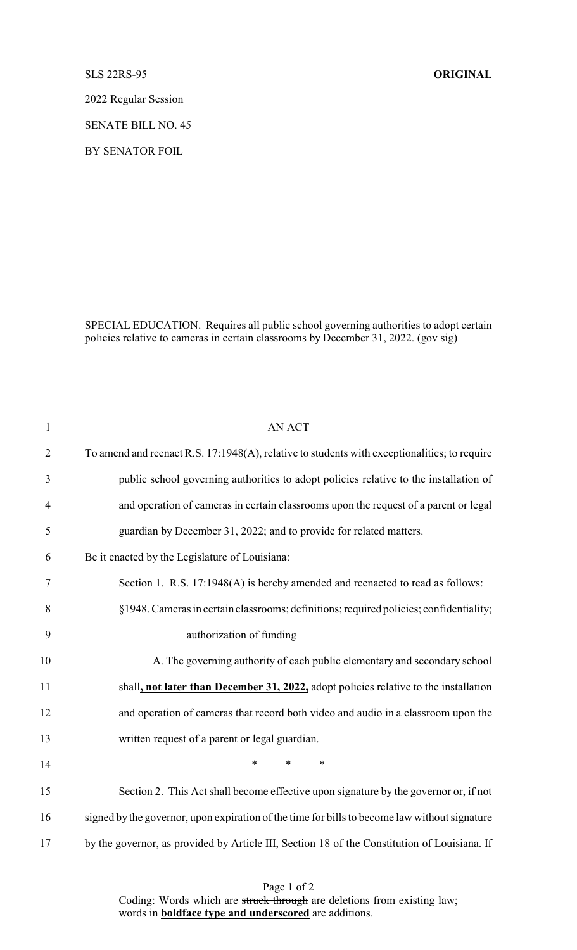SLS 22RS-95 **ORIGINAL**

2022 Regular Session

SENATE BILL NO. 45

BY SENATOR FOIL

SPECIAL EDUCATION. Requires all public school governing authorities to adopt certain policies relative to cameras in certain classrooms by December 31, 2022. (gov sig)

| $\mathbf{1}$   | <b>AN ACT</b>                                                                                 |
|----------------|-----------------------------------------------------------------------------------------------|
| $\overline{2}$ | To amend and reenact R.S. 17:1948(A), relative to students with exceptionalities; to require  |
| 3              | public school governing authorities to adopt policies relative to the installation of         |
| $\overline{4}$ | and operation of cameras in certain classrooms upon the request of a parent or legal          |
| 5              | guardian by December 31, 2022; and to provide for related matters.                            |
| 6              | Be it enacted by the Legislature of Louisiana:                                                |
| $\tau$         | Section 1. R.S. 17:1948(A) is hereby amended and reenacted to read as follows:                |
| 8              | §1948. Cameras in certain classrooms; definitions; required policies; confidentiality;        |
| 9              | authorization of funding                                                                      |
| 10             | A. The governing authority of each public elementary and secondary school                     |
| 11             | shall, not later than December 31, 2022, adopt policies relative to the installation          |
| 12             | and operation of cameras that record both video and audio in a classroom upon the             |
| 13             | written request of a parent or legal guardian.                                                |
| 14             | $\ast$<br>$\ast$<br>*                                                                         |
| 15             | Section 2. This Act shall become effective upon signature by the governor or, if not          |
| 16             | signed by the governor, upon expiration of the time for bills to become law without signature |
| 17             | by the governor, as provided by Article III, Section 18 of the Constitution of Louisiana. If  |

Page 1 of 2 Coding: Words which are struck through are deletions from existing law; words in **boldface type and underscored** are additions.